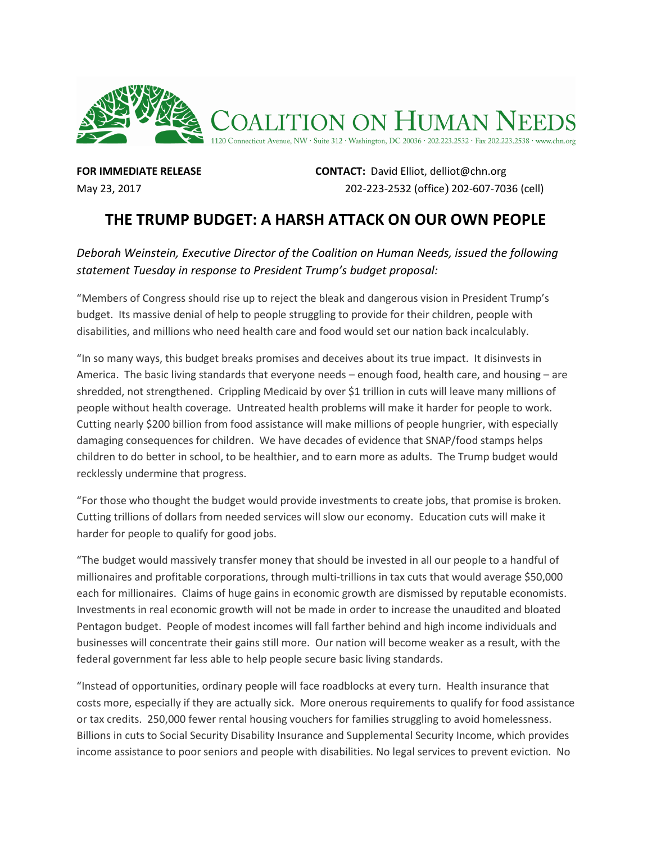

**FOR IMMEDIATE RELEASE CONTACT:** David Elliot, delliot@chn.org May 23, 2017202-223-2532 (office) 202-607-7036 (cell)

## **THE TRUMP BUDGET: A HARSH ATTACK ON OUR OWN PEOPLE**

## *Deborah Weinstein, Executive Director of the Coalition on Human Needs, issued the following statement Tuesday in response to President Trump's budget proposal:*

"Members of Congress should rise up to reject the bleak and dangerous vision in President Trump's budget. Its massive denial of help to people struggling to provide for their children, people with disabilities, and millions who need health care and food would set our nation back incalculably.

"In so many ways, this budget breaks promises and deceives about its true impact. It disinvests in America. The basic living standards that everyone needs – enough food, health care, and housing – are shredded, not strengthened. Crippling Medicaid by over \$1 trillion in cuts will leave many millions of people without health coverage. Untreated health problems will make it harder for people to work. Cutting nearly \$200 billion from food assistance will make millions of people hungrier, with especially damaging consequences for children. We have decades of evidence that SNAP/food stamps helps children to do better in school, to be healthier, and to earn more as adults. The Trump budget would recklessly undermine that progress.

"For those who thought the budget would provide investments to create jobs, that promise is broken. Cutting trillions of dollars from needed services will slow our economy. Education cuts will make it harder for people to qualify for good jobs.

"The budget would massively transfer money that should be invested in all our people to a handful of millionaires and profitable corporations, through multi-trillions in tax cuts that would average \$50,000 each for millionaires. Claims of huge gains in economic growth are dismissed by reputable economists. Investments in real economic growth will not be made in order to increase the unaudited and bloated Pentagon budget. People of modest incomes will fall farther behind and high income individuals and businesses will concentrate their gains still more. Our nation will become weaker as a result, with the federal government far less able to help people secure basic living standards.

"Instead of opportunities, ordinary people will face roadblocks at every turn. Health insurance that costs more, especially if they are actually sick. More onerous requirements to qualify for food assistance or tax credits. 250,000 fewer rental housing vouchers for families struggling to avoid homelessness. Billions in cuts to Social Security Disability Insurance and Supplemental Security Income, which provides income assistance to poor seniors and people with disabilities. No legal services to prevent eviction. No